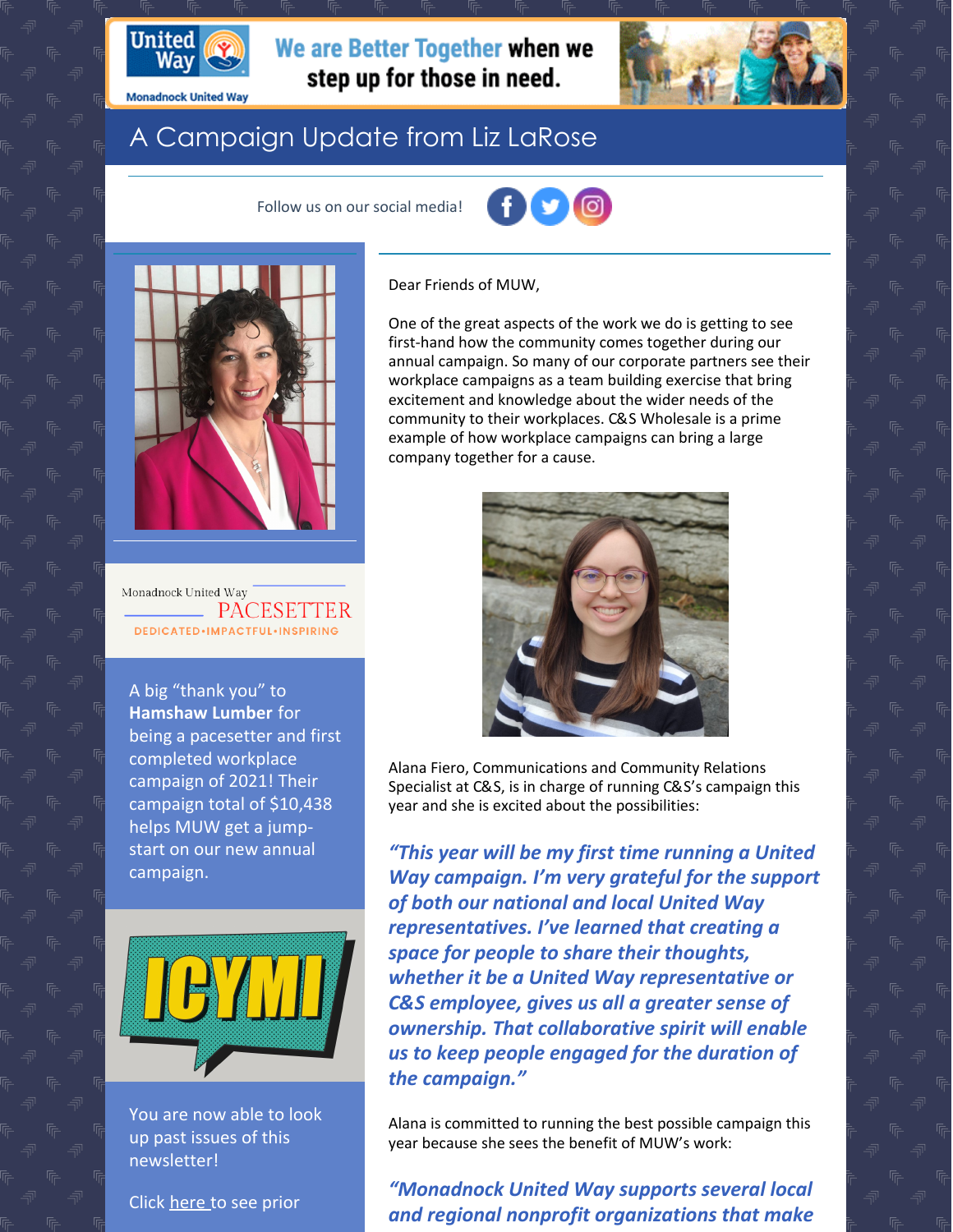

**Monadnock United Way** 

# We are Better Together when we

## A Campaign Update from Liz LaRose

Follow us on our social media!





Monadnock United Way PACESETTER DEDICATED.IMPACTFUL.INSPIRING

A big "thank you" to **Hamshaw Lumber** for being a pacesetter and first completed workplace campaign of 2021! Their campaign total of \$10,438 helps MUW get a jumpstart on our new annual campaign.



You are now able to look up past issues of this newsletter!

Click [here](https://www.muw.org/2021-newsletters) to see prior

Dear Friends of MUW,

step up for those in need.

One of the great aspects of the work we do is getting to see first-hand how the community comes together during our annual campaign. So many of our corporate partners see their workplace campaigns as a team building exercise that bring excitement and knowledge about the wider needs of the community to their workplaces. C&S Wholesale is a prime example of how workplace campaigns can bring a large company together for a cause.



Alana Fiero, Communications and Community Relations Specialist at C&S, is in charge of running C&S's campaign this year and she is excited about the possibilities:

*"This year will be my first time running a United Way campaign. I'm very grateful for the support of both our national and local United Way representatives. I've learned that creating a space for people to share their thoughts, whether it be a United Way representative or C&S employee, gives us all a greater sense of ownership. That collaborative spirit will enable us to keep people engaged for the duration of the campaign."*

Alana is committed to running the best possible campaign this year because she sees the benefit of MUW's work:

*"Monadnock United Way supports several local and regional nonprofit organizations that make*